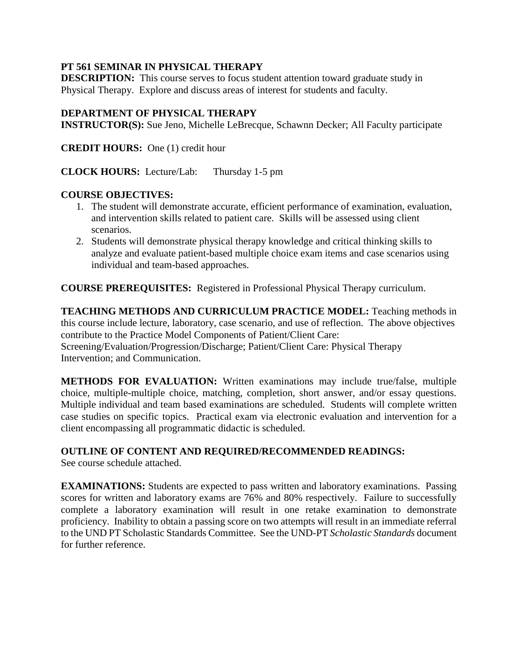### **PT 561 SEMINAR IN PHYSICAL THERAPY**

**DESCRIPTION:** This course serves to focus student attention toward graduate study in Physical Therapy. Explore and discuss areas of interest for students and faculty.

### **DEPARTMENT OF PHYSICAL THERAPY**

**INSTRUCTOR(S):** Sue Jeno, Michelle LeBrecque, Schawnn Decker; All Faculty participate

**CREDIT HOURS:** One (1) credit hour

**CLOCK HOURS:** Lecture/Lab: Thursday 1-5 pm

#### **COURSE OBJECTIVES:**

- 1. The student will demonstrate accurate, efficient performance of examination, evaluation, and intervention skills related to patient care. Skills will be assessed using client scenarios.
- 2. Students will demonstrate physical therapy knowledge and critical thinking skills to analyze and evaluate patient-based multiple choice exam items and case scenarios using individual and team-based approaches.

**COURSE PREREQUISITES:** Registered in Professional Physical Therapy curriculum.

**TEACHING METHODS AND CURRICULUM PRACTICE MODEL:** Teaching methods in this course include lecture, laboratory, case scenario, and use of reflection. The above objectives contribute to the Practice Model Components of Patient/Client Care: Screening/Evaluation/Progression/Discharge; Patient/Client Care: Physical Therapy Intervention; and Communication.

**METHODS FOR EVALUATION:** Written examinations may include true/false, multiple choice, multiple-multiple choice, matching, completion, short answer, and/or essay questions. Multiple individual and team based examinations are scheduled. Students will complete written case studies on specific topics. Practical exam via electronic evaluation and intervention for a client encompassing all programmatic didactic is scheduled.

## **OUTLINE OF CONTENT AND REQUIRED/RECOMMENDED READINGS:**

See course schedule attached.

**EXAMINATIONS:** Students are expected to pass written and laboratory examinations. Passing scores for written and laboratory exams are 76% and 80% respectively. Failure to successfully complete a laboratory examination will result in one retake examination to demonstrate proficiency. Inability to obtain a passing score on two attempts will result in an immediate referral to the UND PT Scholastic Standards Committee. See the UND-PT *Scholastic Standards* document for further reference.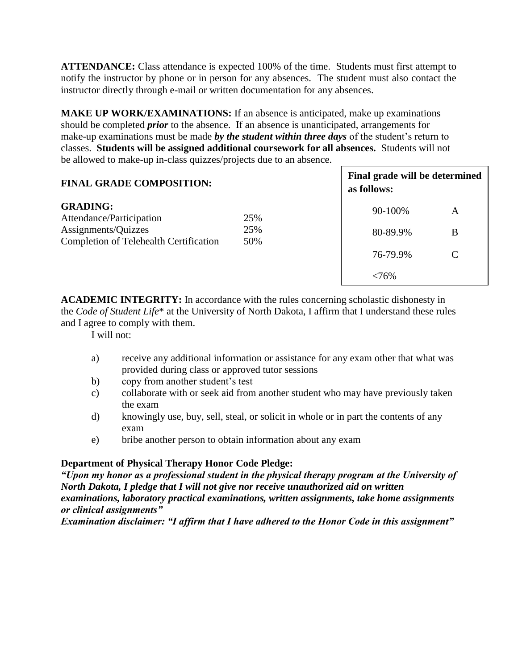**ATTENDANCE:** Class attendance is expected 100% of the time. Students must first attempt to notify the instructor by phone or in person for any absences. The student must also contact the instructor directly through e-mail or written documentation for any absences.

**MAKE UP WORK/EXAMINATIONS:** If an absence is anticipated, make up examinations should be completed *prior* to the absence. If an absence is unanticipated, arrangements for make-up examinations must be made *by the student within three days* of the student's return to classes. **Students will be assigned additional coursework for all absences.** Students will not be allowed to make-up in-class quizzes/projects due to an absence.

| <b>FINAL GRADE COMPOSITION:</b>                                                                                     |            | as follows: | Final grade will be determined |  |
|---------------------------------------------------------------------------------------------------------------------|------------|-------------|--------------------------------|--|
| <b>GRADING:</b><br>Attendance/Participation<br>Assignments/Quizzes<br><b>Completion of Telehealth Certification</b> | 25%        | 90-100%     | A                              |  |
|                                                                                                                     | 25%<br>50% | 80-89.9%    | В                              |  |
|                                                                                                                     |            | 76-79.9%    |                                |  |
|                                                                                                                     |            | <76%        |                                |  |

**ACADEMIC INTEGRITY:** In accordance with the rules concerning scholastic dishonesty in the *Code of Student Life*\* at the University of North Dakota, I affirm that I understand these rules and I agree to comply with them. Unsatisfactory

I will not:

- a) receive any additional information or assistance for any exam other that what was provided during class or approved tutor sessions
- b) copy from another student's test
- c) collaborate with or seek aid from another student who may have previously taken the exam
- d) knowingly use, buy, sell, steal, or solicit in whole or in part the contents of any exam
- e) bribe another person to obtain information about any exam

## **Department of Physical Therapy Honor Code Pledge:**

*"Upon my honor as a professional student in the physical therapy program at the University of North Dakota, I pledge that I will not give nor receive unauthorized aid on written examinations, laboratory practical examinations, written assignments, take home assignments or clinical assignments"* 

*Examination disclaimer: "I affirm that I have adhered to the Honor Code in this assignment"*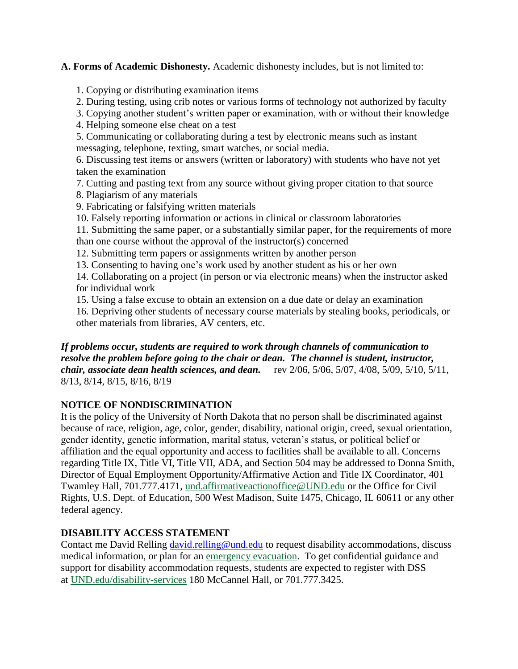**A. Forms of Academic Dishonesty.** Academic dishonesty includes, but is not limited to:

1. Copying or distributing examination items

2. During testing, using crib notes or various forms of technology not authorized by faculty

3. Copying another student's written paper or examination, with or without their knowledge

4. Helping someone else cheat on a test

5. Communicating or collaborating during a test by electronic means such as instant messaging, telephone, texting, smart watches, or social media.

6. Discussing test items or answers (written or laboratory) with students who have not yet taken the examination

7. Cutting and pasting text from any source without giving proper citation to that source

- 8. Plagiarism of any materials
- 9. Fabricating or falsifying written materials
- 10. Falsely reporting information or actions in clinical or classroom laboratories

11. Submitting the same paper, or a substantially similar paper, for the requirements of more than one course without the approval of the instructor(s) concerned

12. Submitting term papers or assignments written by another person

13. Consenting to having one's work used by another student as his or her own

14. Collaborating on a project (in person or via electronic means) when the instructor asked for individual work

15. Using a false excuse to obtain an extension on a due date or delay an examination

16. Depriving other students of necessary course materials by stealing books, periodicals, or other materials from libraries, AV centers, etc.

### *If problems occur, students are required to work through channels of communication to resolve the problem before going to the chair or dean. The channel is student, instructor, chair, associate dean health sciences, and dean.* rev 2/06, 5/06, 5/07, 4/08, 5/09, 5/10, 5/11, 8/13, 8/14, 8/15, 8/16, 8/19

# **NOTICE OF NONDISCRIMINATION**

It is the policy of the University of North Dakota that no person shall be discriminated against because of race, religion, age, color, gender, disability, national origin, creed, sexual orientation, gender identity, genetic information, marital status, veteran's status, or political belief or affiliation and the equal opportunity and access to facilities shall be available to all. Concerns regarding Title IX, Title VI, Title VII, ADA, and Section 504 may be addressed to Donna Smith, Director of Equal Employment Opportunity/Affirmative Action and Title IX Coordinator, 401 Twamley Hall, 701.777.4171, [und.affirmativeactionoffice@UND.edu](mailto:und.affirmativeactionoffice@UND.edu) or the Office for Civil Rights, U.S. Dept. of Education, 500 West Madison, Suite 1475, Chicago, IL 60611 or any other federal agency.

# **DISABILITY ACCESS STATEMENT**

Contact me David Relling [david.relling@und.edu](mailto:david.relling@und.edu) to request disability accommodations, discuss medical information, or plan for an [emergency evacuation.](https://und.edu/_development/_migration-wave4/public-safety/public-safety/fire-safety.html) To get confidential guidance and support for disability accommodation requests, students are expected to register with DSS at [UND.edu/disability-services](https://und.edu/student-life/disability-services/index.html) 180 McCannel Hall, or 701.777.3425.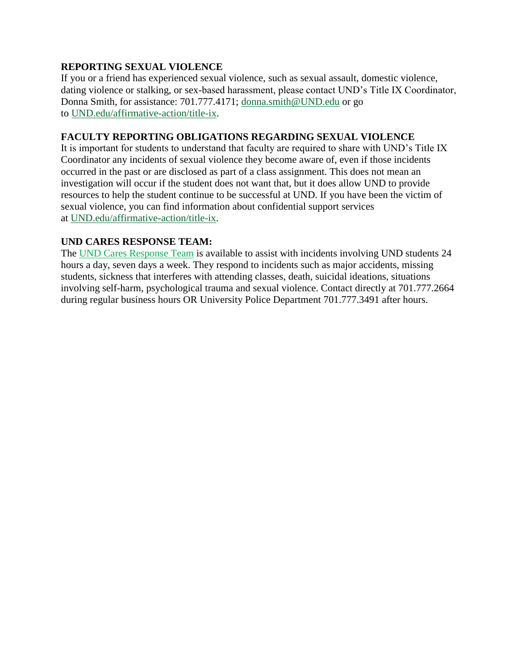## **REPORTING SEXUAL VIOLENCE**

If you or a friend has experienced sexual violence, such as sexual assault, domestic violence, dating violence or stalking, or sex-based harassment, please contact UND's Title IX Coordinator, Donna Smith, for assistance: 701.777.4171; [donna.smith@UND.edu](mailto:donna.smith@UND.edu) or go to [UND.edu/affirmative-action/title-ix.](https://und.edu/_development/_migration-wave4/affirmative-action/title-ix/index.html)

# **FACULTY REPORTING OBLIGATIONS REGARDING SEXUAL VIOLENCE**

It is important for students to understand that faculty are required to share with UND's Title IX Coordinator any incidents of sexual violence they become aware of, even if those incidents occurred in the past or are disclosed as part of a class assignment. This does not mean an investigation will occur if the student does not want that, but it does allow UND to provide resources to help the student continue to be successful at UND. If you have been the victim of sexual violence, you can find information about confidential support services at [UND.edu/affirmative-action/title-ix.](https://und.edu/_development/_migration-wave4/affirmative-action/title-ix/index.html)

## **UND CARES RESPONSE TEAM:**

The [UND Cares Response Team](http://und.edu/student-affairs/student-rights-responsibilities/care-team.cfm) is available to assist with incidents involving UND students 24 hours a day, seven days a week. They respond to incidents such as major accidents, missing students, sickness that interferes with attending classes, death, suicidal ideations, situations involving self-harm, psychological trauma and sexual violence. Contact directly at 701.777.2664 during regular business hours OR University Police Department 701.777.3491 after hours.